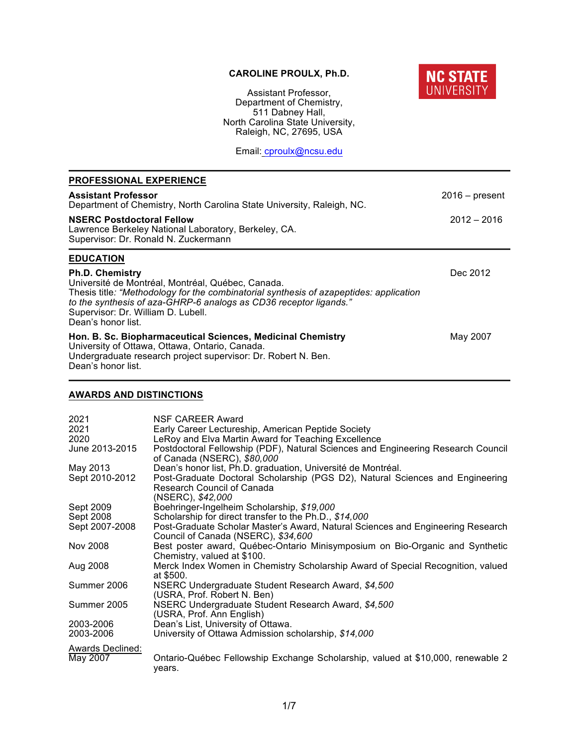# **CAROLINE PROULX, Ph.D.**



Assistant Professor, Department of Chemistry, 511 Dabney Hall, North Carolina State University, Raleigh, NC, 27695, USA

Email: cproulx@ncsu.edu

| <b>PROFESSIONAL EXPERIENCE</b>                                                                                                                                                                                                                                                                         |                  |  |
|--------------------------------------------------------------------------------------------------------------------------------------------------------------------------------------------------------------------------------------------------------------------------------------------------------|------------------|--|
| <b>Assistant Professor</b><br>Department of Chemistry, North Carolina State University, Raleigh, NC.                                                                                                                                                                                                   | $2016 - present$ |  |
| <b>NSERC Postdoctoral Fellow</b><br>Lawrence Berkeley National Laboratory, Berkeley, CA.<br>Supervisor: Dr. Ronald N. Zuckermann                                                                                                                                                                       | $2012 - 2016$    |  |
| <b>EDUCATION</b>                                                                                                                                                                                                                                                                                       |                  |  |
| <b>Ph.D. Chemistry</b><br>Université de Montréal, Montréal, Québec, Canada.<br>Thesis title: "Methodology for the combinatorial synthesis of azapeptides: application<br>to the synthesis of aza-GHRP-6 analogs as CD36 receptor ligands."<br>Supervisor: Dr. William D. Lubell.<br>Dean's honor list. | Dec 2012         |  |
| Hon. B. Sc. Biopharmaceutical Sciences, Medicinal Chemistry<br>University of Ottawa, Ottawa, Ontario, Canada.<br>Undergraduate research project supervisor: Dr. Robert N. Ben.<br>Dean's honor list.                                                                                                   | May 2007         |  |

# **AWARDS AND DISTINCTIONS**

| 2021<br>2021<br>2020<br>June 2013-2015 | <b>NSF CAREER Award</b><br>Early Career Lectureship, American Peptide Society<br>LeRoy and Elva Martin Award for Teaching Excellence<br>Postdoctoral Fellowship (PDF), Natural Sciences and Engineering Research Council<br>of Canada (NSERC), \$80,000 |
|----------------------------------------|---------------------------------------------------------------------------------------------------------------------------------------------------------------------------------------------------------------------------------------------------------|
| May 2013                               | Dean's honor list, Ph.D. graduation, Université de Montréal.                                                                                                                                                                                            |
| Sept 2010-2012                         | Post-Graduate Doctoral Scholarship (PGS D2), Natural Sciences and Engineering<br><b>Research Council of Canada</b><br>(NSERC), \$42,000                                                                                                                 |
| Sept 2009                              | Boehringer-Ingelheim Scholarship, \$19,000                                                                                                                                                                                                              |
| Sept 2008                              | Scholarship for direct transfer to the Ph.D., \$14,000                                                                                                                                                                                                  |
| Sept 2007-2008                         | Post-Graduate Scholar Master's Award, Natural Sciences and Engineering Research<br>Council of Canada (NSERC), \$34,600                                                                                                                                  |
| Nov 2008                               | Best poster award, Québec-Ontario Minisymposium on Bio-Organic and Synthetic<br>Chemistry, valued at \$100.                                                                                                                                             |
| Aug 2008                               | Merck Index Women in Chemistry Scholarship Award of Special Recognition, valued<br>at \$500.                                                                                                                                                            |
| Summer 2006                            | NSERC Undergraduate Student Research Award, \$4,500<br>(USRA, Prof. Robert N. Ben)                                                                                                                                                                      |
| Summer 2005                            | NSERC Undergraduate Student Research Award, \$4,500<br>(USRA, Prof. Ann English)                                                                                                                                                                        |
| 2003-2006                              | Dean's List, University of Ottawa.                                                                                                                                                                                                                      |
| 2003-2006                              | University of Ottawa Admission scholarship, \$14,000                                                                                                                                                                                                    |
| <b>Awards Declined:</b>                |                                                                                                                                                                                                                                                         |
| May 2007                               | Ontario-Québec Fellowship Exchange Scholarship, valued at \$10,000, renewable 2<br>vears.                                                                                                                                                               |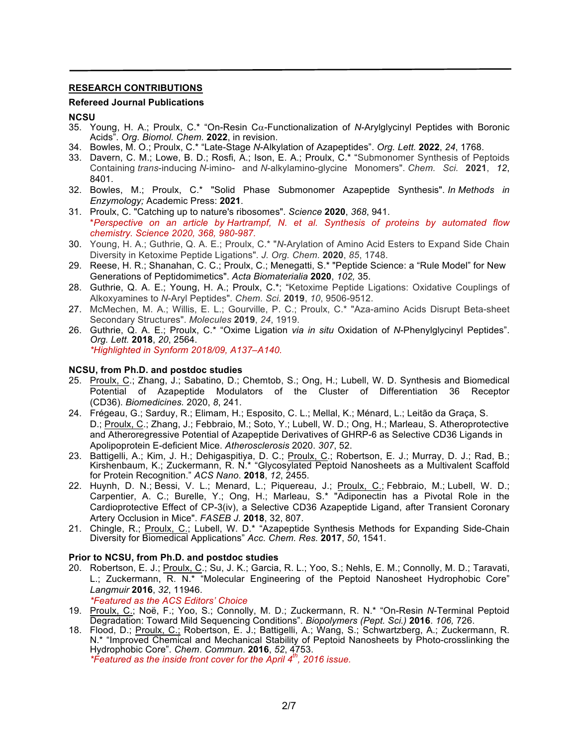## **RESEARCH CONTRIBUTIONS**

#### **Refereed Journal Publications**

#### **NCSU**

- 35. Young, H. A.; Proulx, C.\* "On-Resin Ca-Functionalization of *N*-Arylglycinyl Peptides with Boronic Acids". *Org. Biomol. Chem.* **2022**, in revision.
- 34. Bowles, M. O.; Proulx, C.\* "Late-Stage *N*-Alkylation of Azapeptides". *Org. Lett.* **2022**, *24*, 1768.
- 33. Davern, C. M.; Lowe, B. D.; Rosfi, A.; Ison, E. A.; Proulx, C.\* "Submonomer Synthesis of Peptoids Containing *trans*-inducing *N*-imino- and *N*-alkylamino-glycine Monomers". *Chem. Sci.* **2021**, *12*, 8401.
- 32. Bowles, M.; Proulx, C.\* "Solid Phase Submonomer Azapeptide Synthesis". *In Methods in Enzymology;* Academic Press: **2021**.
- 31. Proulx, C. "Catching up to nature's ribosomes". *Science* **2020**, *368*, 941. \**Perspective on an article by Hartrampf, N. et al. Synthesis of proteins by automated flow chemistry. Science 2020, 368, 980-987.*
- 30. Young, H. A.; Guthrie, Q. A. E.; Proulx, C.\* "*N*-Arylation of Amino Acid Esters to Expand Side Chain Diversity in Ketoxime Peptide Ligations". *J. Org. Chem.* **2020**, *85*, 1748.
- 29. Reese, H. R.; Shanahan, C. C.; Proulx, C.; Menegatti, S.\* "Peptide Science: a "Rule Model" for New Generations of Peptidomimetics". *Acta Biomaterialia* **2020**, *102,* 35.
- 28. Guthrie, Q. A. E.; Young, H. A.; Proulx, C.\*; "Ketoxime Peptide Ligations: Oxidative Couplings of Alkoxyamines to *N*-Aryl Peptides". *Chem. Sci.* **2019**, *10*, 9506-9512.
- 27. McMechen, M. A.; Willis, E. L.; Gourville, P. C.; Proulx, C.\* "Aza-amino Acids Disrupt Beta-sheet Secondary Structures". *Molecules* **2019**, *24*, 1919.
- 26. Guthrie, Q. A. E.; Proulx, C.\* "Oxime Ligation *via in situ* Oxidation of *N*-Phenylglycinyl Peptides". *Org. Lett.* **2018**, *20*, 2564.

*\*Highlighted in Synform 2018/09, A137–A140.*

#### **NCSU, from Ph.D. and postdoc studies**

- 25. Proulx, C.; Zhang, J.; Sabatino, D.; Chemtob, S.; Ong, H.; Lubell, W. D. Synthesis and Biomedical Potential of Azapeptide Modulators of the Cluster of Differentiation 36 Receptor (CD36). *Biomedicines.* 2020, *8*, 241.
- 24. Frégeau, G.; Sarduy, R.; Elimam, H.; Esposito, C. L.; Mellal, K.; Ménard, L.; Leitão da Graça, S. D.; Proulx, C.; Zhang, J.; Febbraio, M.; Soto, Y.; Lubell, W. D.; Ong, H.; Marleau, S. Atheroprotective and Atheroregressive Potential of Azapeptide Derivatives of GHRP-6 as Selective CD36 Ligands in Apolipoprotein E-deficient Mice. *Atherosclerosis* 2020. *307*, 52.
- 23. Battigelli, A.; Kim, J. H.; Dehigaspitiya, D. C.; Proulx, C.; Robertson, E. J.; Murray, D. J.; Rad, B.; Kirshenbaum, K.; Zuckermann, R. N.\* "Glycosylated Peptoid Nanosheets as a Multivalent Scaffold for Protein Recognition." *ACS Nano*. **2018**, *12*, 2455.
- 22. Huynh, D. N.; Bessi, V. L.; Menard, L.; Piquereau, J.; Proulx, C.; Febbraio, M.; Lubell, W. D.; Carpentier, A. C.; Burelle, Y.; Ong, H.; Marleau, S.\* "Adiponectin has a Pivotal Role in the Cardioprotective Effect of CP-3(iv), a Selective CD36 Azapeptide Ligand, after Transient Coronary Artery Occlusion in Mice". *FASEB J.* **2018**, 32, 807.
- 21. Chingle, R.; Proulx, C.; Lubell, W. D.\* "Azapeptide Synthesis Methods for Expanding Side-Chain Diversity for Biomedical Applications" *Acc. Chem. Res.* **2017**, *50*, 1541.

#### **Prior to NCSU, from Ph.D. and postdoc studies**

20. Robertson, E. J.; Proulx, C.; Su, J. K.; Garcia, R. L.; Yoo, S.; Nehls, E. M.; Connolly, M. D.; Taravati, L.; Zuckermann, R. N.\* "Molecular Engineering of the Peptoid Nanosheet Hydrophobic Core" *Langmuir* **2016**, *32*, 11946.

*\*Featured as the ACS Editors' Choice*

- 19. Proulx, C.; Noë, F.; Yoo, S.; Connolly, M. D.; Zuckermann, R. N.\* "On-Resin *N*-Terminal Peptoid Degradation: Toward Mild Sequencing Conditions". *Biopolymers (Pept. Sci.)* **2016**. *106,* 726.
- 18. Flood, D.; Proulx, C.; Robertson, E. J.; Battigelli, A.; Wang, S.; Schwartzberg, A.; Zuckermann, R. N.<sup>\*</sup> "Improved Chemical and Mechanical Stability of Peptoid Nanosheets by Photo-crosslinking the Hydrophobic Core". *Chem*. *Commun*. **2016**, *52*, 4753.

*\*Featured as the inside front cover for the April 4th, 2016 issue.*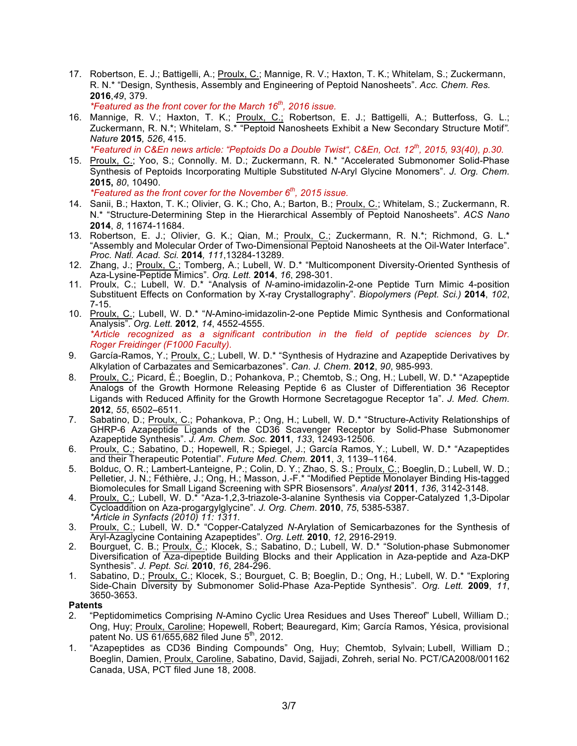17. Robertson, E. J.; Battigelli, A.; Proulx, C.; Mannige, R. V.; Haxton, T. K.; Whitelam, S.; Zuckermann, R. N.\* "Design, Synthesis, Assembly and Engineering of Peptoid Nanosheets". *Acc. Chem. Res.* **2016**,*49*, 379.

*\*Featured as the front cover for the March 16th, 2016 issue.*

16. Mannige, R. V.; Haxton, T. K.; Proulx, C.; Robertson, E. J.; Battigelli, A.; Butterfoss, G. L.; Zuckermann, R. N.\*; Whitelam, S.\* "Peptoid Nanosheets Exhibit a New Secondary Structure Motif*". Nature* **2015***, 526*, 415.

*\*Featured in C&En news article: "Peptoids Do a Double Twist", C&En, Oct. 12th, 2015, 93(40), p.30.* 

15. Proulx, C.; Yoo, S.; Connolly. M. D.; Zuckermann, R. N.\* "Accelerated Submonomer Solid-Phase Synthesis of Peptoids Incorporating Multiple Substituted *N*-Aryl Glycine Monomers". *J. Org. Chem.* **2015,** *80*, 10490.

*\*Featured as the front cover for the November 6th, 2015 issue.*

- 14. Sanii, B.; Haxton, T. K.; Olivier, G. K.; Cho, A.; Barton, B.; Proulx, C.; Whitelam, S.; Zuckermann, R. N.\* "Structure-Determining Step in the Hierarchical Assembly of Peptoid Nanosheets". *ACS Nano* **2014**, *8*, 11674-11684.
- 13. Robertson, E. J.; Olivier, G. K.; Qian, M.; Proulx, C.; Zuckermann, R. N.\*; Richmond, G. L.\* "Assembly and Molecular Order of Two-Dimensional Peptoid Nanosheets at the Oil-Water Interface". *Proc. Natl. Acad. Sci.* **2014***, 111*,13284-13289.
- 12. Zhang, J.; Proulx, C.; Tomberg, A.; Lubell, W. D.\* "Multicomponent Diversity-Oriented Synthesis of Aza-Lysine-Peptide Mimics". *Org. Lett.* **2014**, *16*, 298-301.
- 11. Proulx, C.; Lubell, W. D.\* "Analysis of *N*-amino-imidazolin-2-one Peptide Turn Mimic 4-position Substituent Effects on Conformation by X-ray Crystallography". *Biopolymers (Pept. Sci.)* **2014**, *102*, 7-15.
- 10. Proulx, C.; Lubell, W. D.\* "*N*-Amino-imidazolin-2-one Peptide Mimic Synthesis and Conformational Analysis". *Org. Lett.* **2012**, *14*, 4552-4555. *\*Article recognized as a significant contribution in the field of peptide sciences by Dr. Roger Freidinger (F1000 Faculty).*
- 9. García-Ramos, Y.; Proulx, C.; Lubell, W. D.\* "Synthesis of Hydrazine and Azapeptide Derivatives by Alkylation of Carbazates and Semicarbazones". *Can. J. Chem.* **2012**, *90*, 985-993.
- 8. Proulx, C.; Picard, É.; Boeglin, D.; Pohankova, P.; Chemtob, S.; Ong, H.; Lubell, W. D.\* "Azapeptide Analogs of the Growth Hormone Releasing Peptide 6 as Cluster of Differentiation 36 Receptor Ligands with Reduced Affinity for the Growth Hormone Secretagogue Receptor 1a". *J. Med. Chem.* **2012**, *55*, 6502–6511.
- 7. Sabatino, D.; Proulx, C.; Pohankova, P.; Ong, H.; Lubell, W. D.\* "Structure-Activity Relationships of GHRP-6 Azapeptide Ligands of the CD36 Scavenger Receptor by Solid-Phase Submonomer Azapeptide Synthesis". *J. Am. Chem. Soc.* **2011**, *133*, 12493-12506*.*
- 6. Proulx, C.; Sabatino, D.; Hopewell, R.; Spiegel, J.; García Ramos, Y.; Lubell, W. D.\* "Azapeptides and their Therapeutic Potential". *Future Med. Chem.* **2011**, *3*, 1139–1164.
- 5. Bolduc, O. R.; Lambert-Lanteigne, P.; Colin, D. Y.; Zhao, S. S.; <u>Proulx, C.</u>; Boeglin, D.; Lubell, W. D.; Pelletier, J. N.; Féthière, J.; Ong, H.; Masson, J.-F.\* "Modified Peptide Monolayer Binding His-tagged Biomolecules for Small Ligand Screening with SPR Biosensors". *Analyst* **2011**, *136*, 3142-3148.
- 4. Proulx, C.; Lubell, W. D.\* "Aza-1,2,3-triazole-3-alanine Synthesis via Copper-Catalyzed 1,3-Dipolar Cycloaddition on Aza-progargylglycine". *J. Org. Chem*. **2010**, *75*, 5385-5387. *\*Article in Synfacts (2010) 11: 1311.*
- 3. Proulx, C.; Lubell, W. D.\* "Copper-Catalyzed *N*-Arylation of Semicarbazones for the Synthesis of Aryl-Azaglycine Containing Azapeptides". *Org. Lett.* **2010**, *12*, 2916-2919.
- 2. Bourguet, C. B.; Proulx, C.; Klocek, S.; Sabatino, D.; Lubell, W. D.\* "Solution-phase Submonomer Diversification of Aza-dipeptide Building Blocks and their Application in Aza-peptide and Aza-DKP Synthesis". *J. Pept. Sci.* **2010**, *16*, 284-296.
- 1. Sabatino, D.; Proulx, C.; Klocek, S.; Bourguet, C. B; Boeglin, D.; Ong, H.; Lubell, W. D.\* "Exploring Side-Chain Diversity by Submonomer Solid-Phase Aza-Peptide Synthesis". *Org. Lett.* **2009**, *11*, 3650-3653.

## **Patents**

- 2. "Peptidomimetics Comprising *N*-Amino Cyclic Urea Residues and Uses Thereof" Lubell, William D.; Ong, Huy; Proulx, Caroline; Hopewell, Robert; Beauregard, Kim; García Ramos, Yésica, provisional patent No.  $\overline{US}$  61/655,682 filed June 5<sup>th</sup>, 2012.
- 1. "Azapeptides as CD36 Binding Compounds" Ong, Huy; Chemtob, Sylvain; Lubell, William D.; Boeglin, Damien, Proulx, Caroline, Sabatino, David, Sajjadi, Zohreh, serial No. PCT/CA2008/001162 Canada, USA, PCT filed June 18, 2008.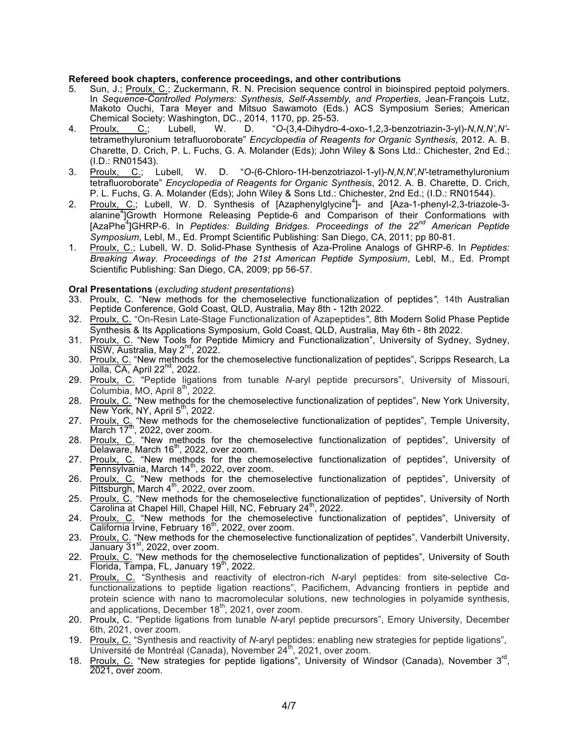#### **Refereed book chapters, conference proceedings, and other contributions**

- 5. Sun, J.; Proulx, C.; Zuckermann, R. N. Precision sequence control in bioinspired peptoid polymers. In *Sequence-Controlled Polymers: Synthesis, Self-Assembly, and Properties*, Jean-François Lutz, Makoto Ouchi, Tara Meyer and Mitsuo Sawamoto (Eds.) ACS Symposium Series; American Chemical Society: Washington, DC., 2014, 1170, pp. 25-53.
- 4. Proulx, C.; Lubell, W. D. "*O*-(3,4-Dihydro-4-oxo-1,2,3-benzotriazin-3-yl)-*N,N,N',N'* tetramethyluronium tetrafluoroborate" *Encyclopedia of Reagents for Organic Synthesis*, 2012. A. B. Charette, D. Crich, P. L. Fuchs, G. A. Molander (Eds); John Wiley & Sons Ltd.: Chichester, 2nd Ed.; (I.D.: RN01543).
- 3. Proulx, C.; Lubell, W. D. "*O*-(6-Chloro-1H-benzotriazol-1-yl)-*N,N,N',N'*-tetramethyluronium tetrafluoroborate" *Encyclopedia of Reagents for Organic Synthesis*, 2012. A. B. Charette, D. Crich, P. L. Fuchs, G. A. Molander (Eds); John Wiley & Sons Ltd.: Chichester, 2nd Ed.; (I.D.: RN01544).
- 2. Proulx, C.; Lubell, W. D. Synthesis of [Azaphenylglycine<sup>4</sup>]- and [Aza-1-phenyl-2,3-triazole-3alanine<sup>4</sup>]Growth Hormone Releasing Peptide-6 and Comparison of their Conformations with [AzaPhe<sup>4</sup> ]GHRP-6. In *Peptides: Building Bridges. Proceedings of the 22nd American Peptide Symposium*, Lebl, M., Ed. Prompt Scientific Publishing: San Diego, CA, 2011; pp 80-81.
- 1. Proulx, C.; Lubell, W. D. Solid-Phase Synthesis of Aza-Proline Analogs of GHRP-6. In *Peptides: Breaking Away. Proceedings of the 21st American Peptide Symposium*, Lebl, M., Ed. Prompt Scientific Publishing: San Diego, CA, 2009; pp 56-57.

#### **Oral Presentations** (*excluding student presentations*)

- 33. Proulx, C*.* "New methods for the chemoselective functionalization of peptides*"*, 14th Australian Peptide Conference, Gold Coast, QLD, Australia, May 8th - 12th 2022.
- 32. Proulx, C*.* "On-Resin Late-Stage Functionalization of Azapeptides*"*, 8th Modern Solid Phase Peptide Synthesis & Its Applications Symposium, Gold Coast, QLD, Australia, May 6th - 8th 2022.
- 31. Proulx, C. "New Tools for Peptide Mimicry and Functionalization", University of Sydney, Sydney, NSW, Australia, May 2<sup>nd</sup>, 2022.
- 30. Proulx, C. "New methods for the chemoselective functionalization of peptides", Scripps Research, La  $Jolla, CA, April 22<sup>nd</sup>, 2022.$
- 29. Proulx, C. "Peptide ligations from tunable *N*-aryl peptide precursors", University of Missouri,  $\overline{\text{Columbia}}$ , MO, April  $8^{\text{th}}$ , 2022.
- 28. Proulx, C. "New methods for the chemoselective functionalization of peptides", New York University, New York, NY, April  $5<sup>th</sup>$ , 2022.
- 27. Proulx, C<sub>a</sub> "New methods for the chemoselective functionalization of peptides", Temple University,  $March$  17<sup>th</sup>, 2022, over zoom.
- 28. Proulx, C. "New methods for the chemoselective functionalization of peptides", University of Delaware, March 16<sup>th</sup>, 2022, over zoom.
- 27. Proulx, C. "New methods for the chemoselective functionalization of peptides", University of Pennsylvania, March 14<sup>th</sup>, 2022, over zoom.
- 26. Proulx, C. "New methods for the chemoselective functionalization of peptides", University of  $Pittsburgh$ , March  $4<sup>th</sup>$ , 2022, over zoom.
- 25. Proulx, C. "New methods for the chemoselective functionalization of peptides", University of North Carolina at Chapel Hill, Chapel Hill, NC, February 24<sup>th</sup>, 2022.
- 24. Proulx, C. "New methods for the chemoselective functionalization of peptides", University of California Irvine, February 16<sup>th</sup>, 2022, over zoom.
- 23. Proulx, C. "New methods for the chemoselective functionalization of peptides", Vanderbilt University, **<u>House, 2022</u></u>, over zoom.**
- 22. Proulx, C. "New methods for the chemoselective functionalization of peptides", University of South Florida, Tampa, FL, January 19<sup>th</sup>, 2022.
- 21. Proulx, C. "Synthesis and reactivity of electron-rich *N*-aryl peptides: from site-selective Cαfunctionalizations to peptide ligation reactions", Pacifichem, Advancing frontiers in peptide and protein science with nano to macromolecular solutions, new technologies in polyamide synthesis, and applications, December  $18<sup>th</sup>$ , 2021, over zoom.
- 20. Proulx, C. "Peptide ligations from tunable *N*-aryl peptide precursors", Emory University, December 6th, 2021, over zoom.
- 19. Proulx, C. "Synthesis and reactivity of *N*-aryl peptides: enabling new strategies for peptide ligations", Université de Montréal (Canada), November 24<sup>th</sup>, 2021, over zoom.
- 18. Proulx, C. "New strategies for peptide ligations", University of Windsor (Canada), November 3<sup>rd</sup>, 2021, over zoom.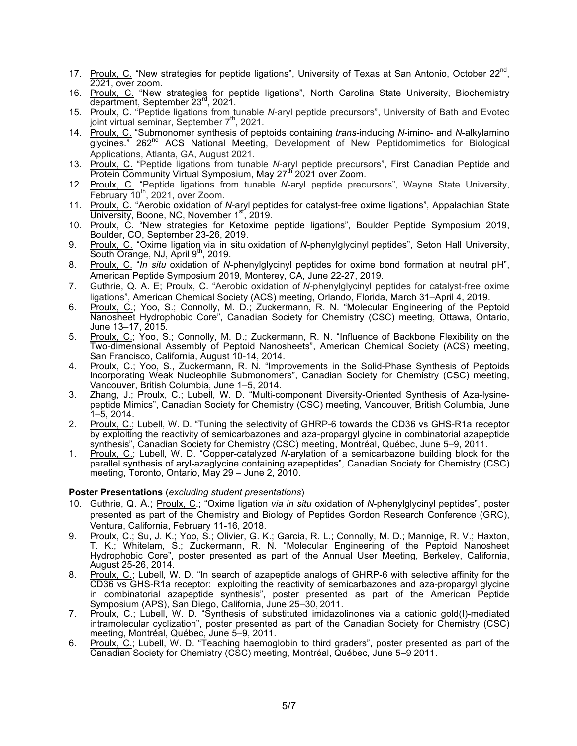- 17. Proulx, C. "New strategies for peptide ligations", University of Texas at San Antonio, October 22<sup>nd</sup>, 2021, over zoom.
- 16. Proulx, C. "New strategies for peptide ligations", North Carolina State University, Biochemistry department, September 23<sup>rd</sup>, 2021.
- 15. Proulx, C. "Peptide ligations from tunable *N*-aryl peptide precursors", University of Bath and Evotec joint virtual seminar, September  $7<sup>th</sup>$ , 2021.
- 14. Proulx, C. "Submonomer synthesis of peptoids containing *trans*-inducing *N*-imino- and *N*-alkylamino glycines." 262<sup>nd</sup> ACS National Meeting, Development of New Peptidomimetics for Biological Applications, Atlanta, GA, August 2021.
- 13. Proulx, C. "Peptide ligations from tunable *N*-aryl peptide precursors", First Canadian Peptide and Protein Community Virtual Symposium, May 27<sup>th</sup> 2021 over Zoom.
- 12. Proulx, C. "Peptide ligations from tunable *N*-aryl peptide precursors", Wayne State University, February  $10^{th}$ , 2021, over Zoom.
- 11. Proulx, C. "Aerobic oxidation of *N*-aryl peptides for catalyst-free oxime ligations", Appalachian State University, Boone, NC, November 1st, 2019.
- 10. Proulx, C. "New strategies for Ketoxime peptide ligations", Boulder Peptide Symposium 2019, Boulder, CO, September 23-26, 2019.
- 9. Proulx, C. "Oxime ligation via in situ oxidation of *N*-phenylglycinyl peptides", Seton Hall University, South Orange, NJ, April  $9<sup>th</sup>$ , 2019.
- 8. Proulx, C. "*In situ* oxidation of *N*-phenylglycinyl peptides for oxime bond formation at neutral pH", American Peptide Symposium 2019, Monterey, CA, June 22-27, 2019.
- 7. Guthrie, Q. A. E; Proulx, C. "Aerobic oxidation of *N*-phenylglycinyl peptides for catalyst-free oxime ligations", American Chemical Society (ACS) meeting, Orlando, Florida, March 31–April 4, 2019.
- 6. Proulx, C.; Yoo, S.; Connolly, M. D.; Zuckermann, R. N. "Molecular Engineering of the Peptoid Nanosheet Hydrophobic Core", Canadian Society for Chemistry (CSC) meeting, Ottawa, Ontario, June 13–17, 2015.
- 5. Proulx, C.; Yoo, S.; Connolly, M. D.; Zuckermann, R. N. "Influence of Backbone Flexibility on the Two-dimensional Assembly of Peptoid Nanosheets", American Chemical Society (ACS) meeting, San Francisco, California, August 10-14, 2014.
- 4. Proulx, C.; Yoo, S., Zuckermann, R. N. "Improvements in the Solid-Phase Synthesis of Peptoids Incorporating Weak Nucleophile Submonomers", Canadian Society for Chemistry (CSC) meeting, Vancouver, British Columbia, June 1–5, 2014.
- 3. Zhang, J.; Proulx, C.; Lubell, W. D. "Multi-component Diversity-Oriented Synthesis of Aza-Ivsinepeptide Mimics", Canadian Society for Chemistry (CSC) meeting, Vancouver, British Columbia, June 1–5, 2014.
- 2. Proulx, C.; Lubell, W. D. "Tuning the selectivity of GHRP-6 towards the CD36 vs GHS-R1a receptor by exploiting the reactivity of semicarbazones and aza-propargyl glycine in combinatorial azapeptide synthesis", Canadian Society for Chemistry (CSC) meeting, Montréal, Québec, June 5–9, 2011.
- 1. Proulx, C.; Lubell, W. D. "Copper-catalyzed *N*-arylation of a semicarbazone building block for the parallel synthesis of aryl-azaglycine containing azapeptides", Canadian Society for Chemistry (CSC) meeting, Toronto, Ontario, May 29 – June 2, 2010.

#### **Poster Presentations** (*excluding student presentations*)

- 10. Guthrie, Q. A.; Proulx, C.; "Oxime ligation *via in situ* oxidation of *N*-phenylglycinyl peptides", poster presented as part of the Chemistry and Biology of Peptides Gordon Research Conference (GRC), Ventura, California, February 11-16, 2018.
- 9. Proulx, C.; Su, J. K.; Yoo, S.; Olivier, G. K.; Garcia, R. L.; Connolly, M. D.; Mannige, R. V.; Haxton, T. K.; Whitelam, S.; Zuckermann, R. N. "Molecular Engineering of the Peptoid Nanosheet Hydrophobic Core", poster presented as part of the Annual User Meeting, Berkeley, California, August 25-26, 2014.
- 8. Proulx, C.; Lubell, W. D. "In search of azapeptide analogs of GHRP-6 with selective affinity for the CD36 vs GHS-R1a receptor: exploiting the reactivity of semicarbazones and aza-propargyl glycine in combinatorial azapeptide synthesis", poster presented as part of the American Peptide Symposium (APS), San Diego, California, June 25–30, 2011.
- 7. Proulx, C.; Lubell, W. D. "Synthesis of substituted imidazolinones via a cationic gold(I)-mediated intramolecular cyclization", poster presented as part of the Canadian Society for Chemistry (CSC) meeting, Montréal, Québec, June 5–9, 2011.
- 6. Proulx, C.; Lubell, W. D. "Teaching haemoglobin to third graders", poster presented as part of the Canadian Society for Chemistry (CSC) meeting, Montréal, Québec, June 5–9 2011.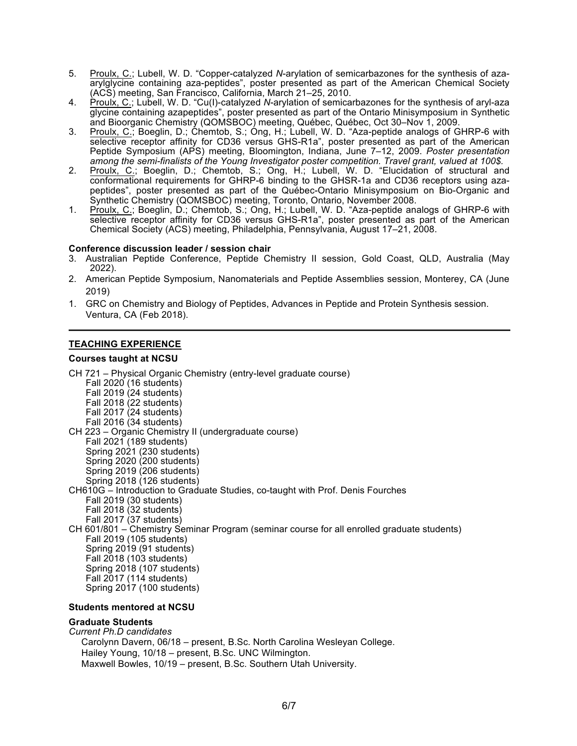- 5. Proulx, C.; Lubell, W. D. "Copper-catalyzed *N*-arylation of semicarbazones for the synthesis of azaarylglycine containing aza-peptides", poster presented as part of the American Chemical Society (ACS) meeting, San Francisco, California, March 21–25, 2010.
- 4. Proulx, C.; Lubell, W. D. "Cu(I)-catalyzed *N*-arylation of semicarbazones for the synthesis of aryl-aza glycine containing azapeptides", poster presented as part of the Ontario Minisymposium in Synthetic and Bioorganic Chemistry (QOMSBOC) meeting, Québec, Québec, Oct 30–Nov 1, 2009.
- 3. Proulx, C.; Boeglin, D.; Chemtob, S.; Ong, H.; Lubell, W. D. "Aza-peptide analogs of GHRP-6 with selective receptor affinity for CD36 versus GHS-R1a", poster presented as part of the American Peptide Symposium (APS) meeting, Bloomington, Indiana, June 7–12, 2009. *Poster presentation among the semi-finalists of the Young Investigator poster competition. Travel grant, valued at 100\$.*
- 2. Proulx, C.; Boeglin, D.; Chemtob, S.; Ong, H.; Lubell, W. D. "Elucidation of structural and conformational requirements for GHRP-6 binding to the GHSR-1a and CD36 receptors using azapeptides", poster presented as part of the Québec-Ontario Minisymposium on Bio-Organic and Synthetic Chemistry (QOMSBOC) meeting, Toronto, Ontario, November 2008.
- 1. Proulx, C.; Boeglin, D.; Chemtob, S.; Ong, H.; Lubell, W. D. "Aza-peptide analogs of GHRP-6 with selective receptor affinity for CD36 versus GHS-R1a", poster presented as part of the American Chemical Society (ACS) meeting, Philadelphia, Pennsylvania, August 17–21, 2008.

#### **Conference discussion leader / session chair**

- 3. Australian Peptide Conference, Peptide Chemistry II session, Gold Coast, QLD, Australia (May 2022).
- 2. American Peptide Symposium, Nanomaterials and Peptide Assemblies session, Monterey, CA (June 2019)
- 1. GRC on Chemistry and Biology of Peptides, Advances in Peptide and Protein Synthesis session. Ventura, CA (Feb 2018).

# **TEACHING EXPERIENCE**

#### **Courses taught at NCSU**

CH 721 – Physical Organic Chemistry (entry-level graduate course) Fall 2020 (16 students) Fall 2019 (24 students) Fall 2018 (22 students) Fall 2017 (24 students) Fall 2016 (34 students) CH 223 – Organic Chemistry II (undergraduate course) Fall 2021 (189 students) Spring 2021 (230 students) Spring 2020 (200 students) Spring 2019 (206 students) Spring 2018 (126 students) CH610G – Introduction to Graduate Studies, co-taught with Prof. Denis Fourches Fall 2019 (30 students) Fall 2018 (32 students) Fall 2017 (37 students) CH 601/801 – Chemistry Seminar Program (seminar course for all enrolled graduate students) Fall 2019 (105 students) Spring 2019 (91 students) Fall 2018 (103 students) Spring 2018 (107 students) Fall 2017 (114 students) Spring 2017 (100 students)

#### **Students mentored at NCSU**

#### **Graduate Students**

*Current Ph.D candidates* Carolynn Davern, 06/18 – present, B.Sc. North Carolina Wesleyan College. Hailey Young, 10/18 – present, B.Sc. UNC Wilmington. Maxwell Bowles, 10/19 – present, B.Sc. Southern Utah University.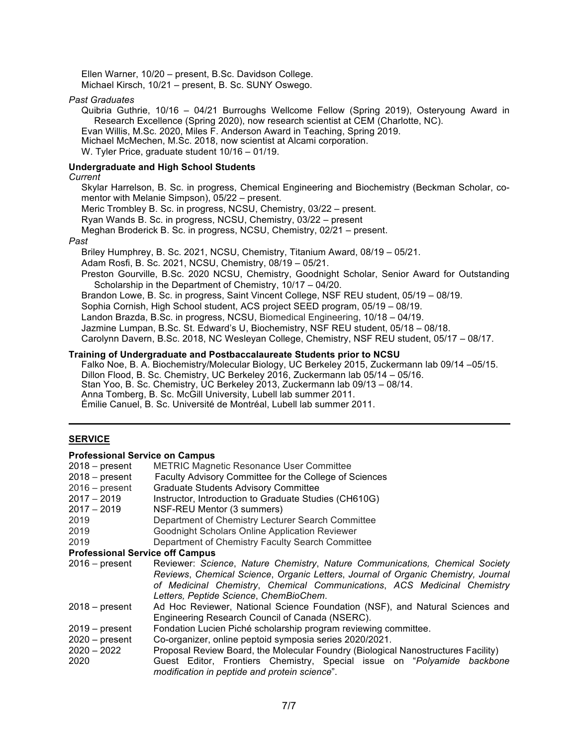Ellen Warner, 10/20 – present, B.Sc. Davidson College. Michael Kirsch, 10/21 – present, B. Sc. SUNY Oswego.

#### *Past Graduates*

Quibria Guthrie, 10/16 – 04/21 Burroughs Wellcome Fellow (Spring 2019), Osteryoung Award in Research Excellence (Spring 2020), now research scientist at CEM (Charlotte, NC). Evan Willis, M.Sc. 2020, Miles F. Anderson Award in Teaching, Spring 2019. Michael McMechen, M.Sc. 2018, now scientist at Alcami corporation. W. Tyler Price, graduate student 10/16 – 01/19.

#### **Undergraduate and High School Students**

#### *Current*

Skylar Harrelson, B. Sc. in progress, Chemical Engineering and Biochemistry (Beckman Scholar, comentor with Melanie Simpson), 05/22 – present.

Meric Trombley B. Sc. in progress, NCSU, Chemistry, 03/22 – present.

Ryan Wands B. Sc. in progress, NCSU, Chemistry, 03/22 – present

Meghan Broderick B. Sc. in progress, NCSU, Chemistry, 02/21 – present.

#### *Past*

Briley Humphrey, B. Sc. 2021, NCSU, Chemistry, Titanium Award, 08/19 – 05/21.

Adam Rosfi, B. Sc. 2021, NCSU, Chemistry, 08/19 – 05/21.

Preston Gourville, B.Sc. 2020 NCSU, Chemistry, Goodnight Scholar, Senior Award for Outstanding Scholarship in the Department of Chemistry, 10/17 – 04/20.

Brandon Lowe, B. Sc. in progress, Saint Vincent College, NSF REU student, 05/19 – 08/19.

Sophia Cornish, High School student, ACS project SEED program, 05/19 – 08/19.

Landon Brazda, B.Sc. in progress, NCSU, Biomedical Engineering, 10/18 – 04/19.

Jazmine Lumpan, B.Sc. St. Edward's U, Biochemistry, NSF REU student, 05/18 – 08/18.

Carolynn Davern, B.Sc. 2018, NC Wesleyan College, Chemistry, NSF REU student, 05/17 – 08/17.

#### **Training of Undergraduate and Postbaccalaureate Students prior to NCSU**

Falko Noe, B. A. Biochemistry/Molecular Biology, UC Berkeley 2015, Zuckermann lab 09/14 –05/15. Dillon Flood, B. Sc. Chemistry, UC Berkeley 2016, Zuckermann lab 05/14 – 05/16. Stan Yoo, B. Sc. Chemistry, UC Berkeley 2013, Zuckermann lab 09/13 – 08/14. Anna Tomberg, B. Sc. McGill University, Lubell lab summer 2011. Émilie Canuel, B. Sc. Université de Montréal, Lubell lab summer 2011.

#### **SERVICE**

#### **Professional Service on Campus**

| <b>METRIC Magnetic Resonance User Committee</b>                                   |  |  |
|-----------------------------------------------------------------------------------|--|--|
| Faculty Advisory Committee for the College of Sciences                            |  |  |
| <b>Graduate Students Advisory Committee</b>                                       |  |  |
| Instructor, Introduction to Graduate Studies (CH610G)                             |  |  |
| NSF-REU Mentor (3 summers)                                                        |  |  |
| Department of Chemistry Lecturer Search Committee                                 |  |  |
| Goodnight Scholars Online Application Reviewer                                    |  |  |
| Department of Chemistry Faculty Search Committee                                  |  |  |
| <b>Professional Service off Campus</b>                                            |  |  |
| Reviewer: Science, Nature Chemistry, Nature Communications, Chemical Society      |  |  |
| Reviews, Chemical Science, Organic Letters, Journal of Organic Chemistry, Journal |  |  |
| of Medicinal Chemistry, Chemical Communications, ACS Medicinal Chemistry          |  |  |
| Letters, Peptide Science, ChemBioChem.                                            |  |  |
| Ad Hoc Reviewer, National Science Foundation (NSF), and Natural Sciences and      |  |  |
| Engineering Research Council of Canada (NSERC).                                   |  |  |
| Fondation Lucien Piché scholarship program reviewing committee.                   |  |  |
| Co-organizer, online peptoid symposia series 2020/2021.                           |  |  |
| Proposal Review Board, the Molecular Foundry (Biological Nanostructures Facility) |  |  |
| Guest Editor, Frontiers Chemistry, Special issue on "Polyamide backbone           |  |  |
| modification in peptide and protein science".                                     |  |  |
|                                                                                   |  |  |